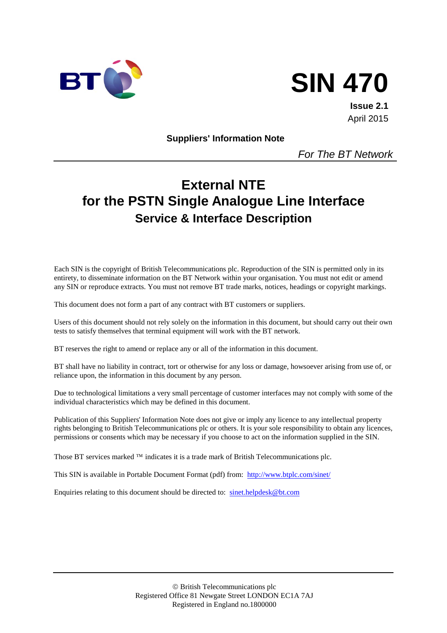



**Issue 2.1** April 2015

**Suppliers' Information Note**

*For The BT Network*

# **External NTE for the PSTN Single Analogue Line Interface Service & Interface Description**

Each SIN is the copyright of British Telecommunications plc. Reproduction of the SIN is permitted only in its entirety, to disseminate information on the BT Network within your organisation. You must not edit or amend any SIN or reproduce extracts. You must not remove BT trade marks, notices, headings or copyright markings.

This document does not form a part of any contract with BT customers or suppliers.

Users of this document should not rely solely on the information in this document, but should carry out their own tests to satisfy themselves that terminal equipment will work with the BT network.

BT reserves the right to amend or replace any or all of the information in this document.

BT shall have no liability in contract, tort or otherwise for any loss or damage, howsoever arising from use of, or reliance upon, the information in this document by any person.

Due to technological limitations a very small percentage of customer interfaces may not comply with some of the individual characteristics which may be defined in this document.

Publication of this Suppliers' Information Note does not give or imply any licence to any intellectual property rights belonging to British Telecommunications plc or others. It is your sole responsibility to obtain any licences, permissions or consents which may be necessary if you choose to act on the information supplied in the SIN.

Those BT services marked  $TM$  indicates it is a trade mark of British Telecommunications plc.

This SIN is available in Portable Document Format (pdf) from: <http://www.btplc.com/sinet/>

Enquiries relating to this document should be directed to: [sinet.helpdesk@bt.com](mailto:sinet.helpdesk@bt.com)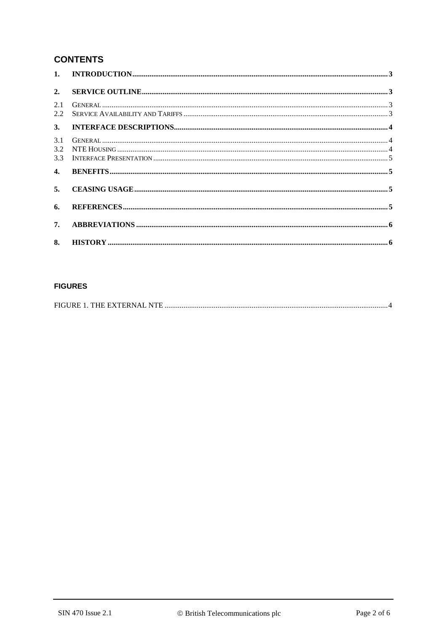# **CONTENTS**

| 2.                          |  |
|-----------------------------|--|
| 2.1<br>$2.2^{\circ}$        |  |
| 3.                          |  |
| 3.1<br>$3.2^{\circ}$<br>3.3 |  |
| 4.                          |  |
| 5.                          |  |
| 6.                          |  |
| 7.                          |  |
| 8.                          |  |

#### **FIGURES**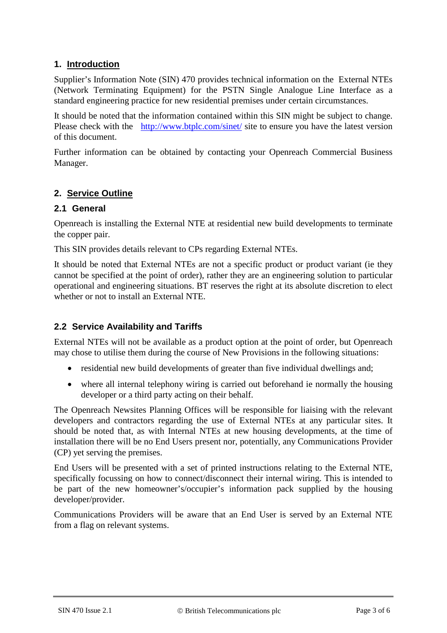# **1. Introduction**

Supplier's Information Note (SIN) 470 provides technical information on the External NTEs (Network Terminating Equipment) for the PSTN Single Analogue Line Interface as a standard engineering practice for new residential premises under certain circumstances.

It should be noted that the information contained within this SIN might be subject to change. Please check with the <http://www.btplc.com/sinet/> site to ensure you have the latest version of this document.

Further information can be obtained by contacting your Openreach Commercial Business Manager.

# **2. Service Outline**

# **2.1 General**

Openreach is installing the External NTE at residential new build developments to terminate the copper pair.

This SIN provides details relevant to CPs regarding External NTEs.

It should be noted that External NTEs are not a specific product or product variant (ie they cannot be specified at the point of order), rather they are an engineering solution to particular operational and engineering situations. BT reserves the right at its absolute discretion to elect whether or not to install an External NTE.

# **2.2 Service Availability and Tariffs**

External NTEs will not be available as a product option at the point of order, but Openreach may chose to utilise them during the course of New Provisions in the following situations:

- residential new build developments of greater than five individual dwellings and;
- where all internal telephony wiring is carried out beforehand ie normally the housing developer or a third party acting on their behalf.

The Openreach Newsites Planning Offices will be responsible for liaising with the relevant developers and contractors regarding the use of External NTEs at any particular sites. It should be noted that, as with Internal NTEs at new housing developments, at the time of installation there will be no End Users present nor, potentially, any Communications Provider (CP) yet serving the premises.

End Users will be presented with a set of printed instructions relating to the External NTE, specifically focussing on how to connect/disconnect their internal wiring. This is intended to be part of the new homeowner's/occupier's information pack supplied by the housing developer/provider.

Communications Providers will be aware that an End User is served by an External NTE from a flag on relevant systems.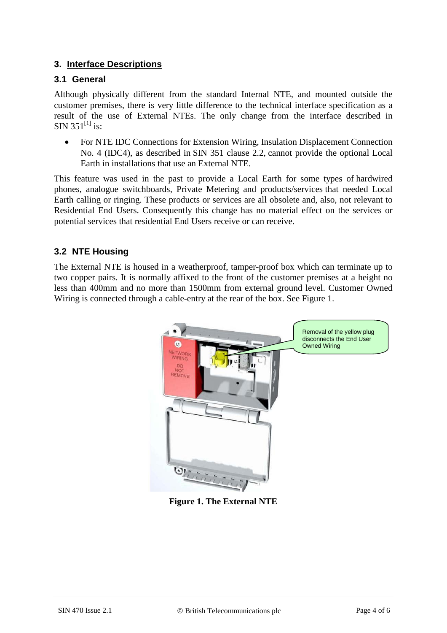# **3. Interface Descriptions**

# **3.1 General**

Although physically different from the standard Internal NTE, and mounted outside the customer premises, there is very little difference to the technical interface specification as a result of the use of External NTEs. The only change from the interface described in SIN 351<sup>[1]</sup> is:

• For NTE IDC Connections for Extension Wiring, Insulation Displacement Connection No. 4 (IDC4), as described in SIN 351 clause 2.2, cannot provide the optional Local Earth in installations that use an External NTE.

This feature was used in the past to provide a Local Earth for some types of hardwired phones, analogue switchboards, Private Metering and products/services that needed Local Earth calling or ringing. These products or services are all obsolete and, also, not relevant to Residential End Users. Consequently this change has no material effect on the services or potential services that residential End Users receive or can receive.

# **3.2 NTE Housing**

The External NTE is housed in a weatherproof, tamper-proof box which can terminate up to two copper pairs. It is normally affixed to the front of the customer premises at a height no less than 400mm and no more than 1500mm from external ground level. Customer Owned Wiring is connected through a cable-entry at the rear of the box. See [Figure 1.](#page-3-0)

<span id="page-3-0"></span>

**Figure 1. The External NTE**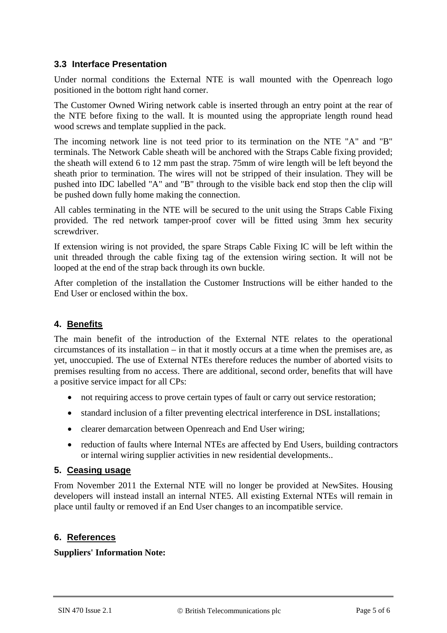## **3.3 Interface Presentation**

Under normal conditions the External NTE is wall mounted with the Openreach logo positioned in the bottom right hand corner.

The Customer Owned Wiring network cable is inserted through an entry point at the rear of the NTE before fixing to the wall. It is mounted using the appropriate length round head wood screws and template supplied in the pack.

The incoming network line is not teed prior to its termination on the NTE "A" and "B" terminals. The Network Cable sheath will be anchored with the Straps Cable fixing provided; the sheath will extend 6 to 12 mm past the strap. 75mm of wire length will be left beyond the sheath prior to termination. The wires will not be stripped of their insulation. They will be pushed into IDC labelled "A" and "B" through to the visible back end stop then the clip will be pushed down fully home making the connection.

All cables terminating in the NTE will be secured to the unit using the Straps Cable Fixing provided. The red network tamper-proof cover will be fitted using 3mm hex security screwdriver.

If extension wiring is not provided, the spare Straps Cable Fixing IC will be left within the unit threaded through the cable fixing tag of the extension wiring section. It will not be looped at the end of the strap back through its own buckle.

After completion of the installation the Customer Instructions will be either handed to the End User or enclosed within the box.

# **4. Benefits**

The main benefit of the introduction of the External NTE relates to the operational circumstances of its installation – in that it mostly occurs at a time when the premises are, as yet, unoccupied. The use of External NTEs therefore reduces the number of aborted visits to premises resulting from no access. There are additional, second order, benefits that will have a positive service impact for all CPs:

- not requiring access to prove certain types of fault or carry out service restoration;
- standard inclusion of a filter preventing electrical interference in DSL installations;
- clearer demarcation between Openreach and End User wiring;
- reduction of faults where Internal NTEs are affected by End Users, building contractors or internal wiring supplier activities in new residential developments..

## **5. Ceasing usage**

From November 2011 the External NTE will no longer be provided at NewSites. Housing developers will instead install an internal NTE5. All existing External NTEs will remain in place until faulty or removed if an End User changes to an incompatible service.

## **6. References**

## **Suppliers' Information Note:**